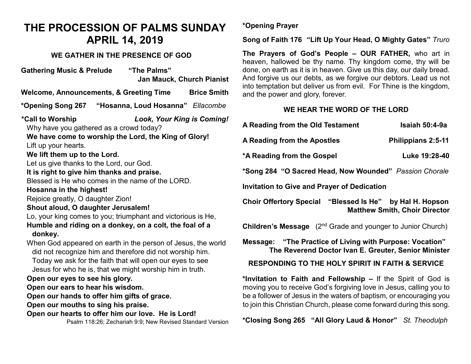# **THE PROCESSION OF PALMS SUNDAY APRIL 14, 2019**

### **WE GATHER IN THE PRESENCE OF GOD**

**Gathering Music & Prelude "The Palms" Jan Mauck, Church Pianist Welcome, Announcements, & Greeting Time Brice Smith \*Opening Song 267 "Hosanna, Loud Hosanna"** *Ellacombe* **\*Call to Worship** *Look, Your King is Coming!* Why have you gathered as a crowd today? **We have come to worship the Lord, the King of Glory!** Lift up your hearts. **We lift them up to the Lord.** Let us give thanks to the Lord, our God. **It is right to give him thanks and praise.** Blessed is He who comes in the name of the LORD. **Hosanna in the highest!** Rejoice greatly, O daughter Zion! **Shout aloud, O daughter Jerusalem!** Lo, your king comes to you; triumphant and victorious is He, **Humble and riding on a donkey, on a colt, the foal of a donkey.** When God appeared on earth in the person of Jesus, the world did not recognize him and therefore did not worship him. Today we ask for the faith that will open our eyes to see Jesus for who he is, that we might worship him in truth. **Open our eyes to see his glory. Open our ears to hear his wisdom. Open our hands to offer him gifts of grace. Open our mouths to sing his praise. Open our hearts to offer him our love. He is Lord!** Psalm 118:26; Zechariah 9:9; New Revised Standard Version

**\*Opening Prayer**

**Song of Faith 176 "Lift Up Your Head, O Mighty Gates"** *Truro*

**The Prayers of God's People – OUR FATHER,** who art in heaven, hallowed be thy name. Thy kingdom come, thy will be done, on earth as it is in heaven. Give us this day, our daily bread. And forgive us our debts, as we forgive our debtors. Lead us not into temptation but deliver us from evil. For Thine is the kingdom, and the power and glory, forever.

# **WE HEAR THE WORD OF THE LORD**

|  | A Reading from the Old Testament                                                                                                                                                                   | Isaiah 50:4-9a                       |
|--|----------------------------------------------------------------------------------------------------------------------------------------------------------------------------------------------------|--------------------------------------|
|  | A Reading from the Apostles                                                                                                                                                                        | <b>Philippians 2:5-11</b>            |
|  | Luke 19:28-40<br>*A Reading from the Gospel<br>*Song 284 "O Sacred Head, Now Wounded" Passion Chorale<br><b>Invitation to Give and Prayer of Dedication</b>                                        |                                      |
|  |                                                                                                                                                                                                    |                                      |
|  |                                                                                                                                                                                                    |                                      |
|  | Choir Offertory Special "Blessed Is He" by Hal H. Hopson                                                                                                                                           | <b>Matthew Smith, Choir Director</b> |
|  | <b>Children's Message</b> (2 <sup>nd</sup> Grade and younger to Junior Church)<br>Message: "The Practice of Living with Purpose: Vocation"<br>The Reverend Doctor Ivan E. Greuter, Senior Minister |                                      |
|  |                                                                                                                                                                                                    |                                      |

## **RESPONDING TO THE HOLY SPIRIT IN FAITH & SERVICE**

**\*Invitation to Faith and Fellowship –** If the Spirit of God is moving you to receive God's forgiving love in Jesus, calling you to be a follower of Jesus in the waters of baptism, or encouraging you to join this Christian Church, please come forward during this song.

**\*Closing Song 265 "All Glory Laud & Honor"** *St. Theodulph*